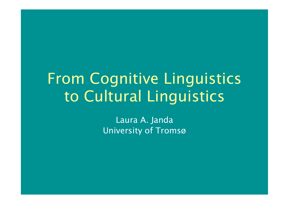# From Cognitive Linguistics to Cultural Linguistics

Laura A. Janda University of Tromsø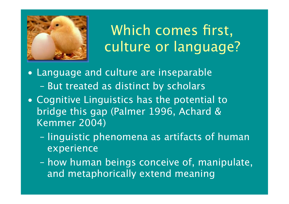

Which comes first, culture or language?

- Language and culture are inseparable – But treated as distinct by scholars
- Cognitive Linguistics has the potential to bridge this gap (Palmer 1996, Achard & Kemmer 2004)
	- linguistic phenomena as artifacts of human experience
	- how human beings conceive of, manipulate, and metaphorically extend meaning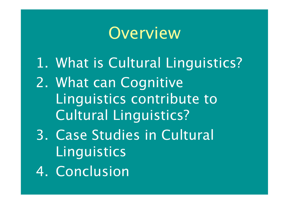# Overview

- 1. What is Cultural Linguistics?
- 2. What can Cognitive Linguistics contribute to Cultural Linguistics?
- 3. Case Studies in Cultural **Linguistics**
- 4. Conclusion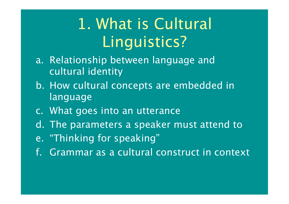# 1. What is Cultural Linguistics?

- a. Relationship between language and cultural identity
- b. How cultural concepts are embedded in language
- c. What goes into an utterance
- d. The parameters a speaker must attend to
- e. "Thinking for speaking"
- f. Grammar as a cultural construct in context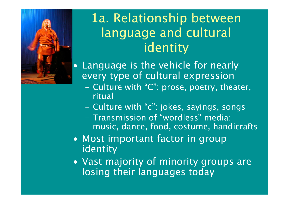

## 1a. Relationship between language and cultural identity

**Language is the vehicle for nearly** every type of cultural expression

- Culture with "C": prose, poetry, theater, ritual
- Culture with "c": jokes, sayings, songs
- Transmission of "wordless" media: music, dance, food, costume, handicrafts
- Most important factor in group identity
- Vast majority of minority groups are losing their languages today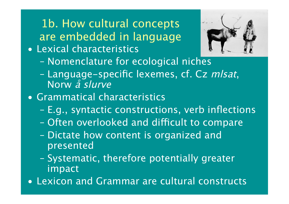1b. How cultural concepts are embedded in language

• Lexical characteristics



- Nomenclature for ecological niches
- Language-specific lexemes, cf. Cz mlsat, Norw å slurve
- Grammatical characteristics
	- E.g., syntactic constructions, verb inflections
	- Often overlooked and difficult to compare
	- Dictate how content is organized and presented
	- Systematic, therefore potentially greater impact
- Lexicon and Grammar are cultural constructs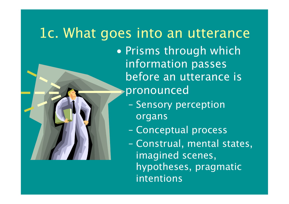#### 1c. What goes into an utterance • Prisms through which information passes before an utterance is

pronounced

- Sensory perception organs
- Conceptual process
- Construal, mental states, imagined scenes, hypotheses, pragmatic intentions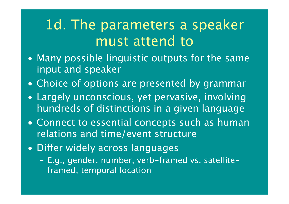## 1d. The parameters a speaker must attend to

- Many possible linguistic outputs for the same input and speaker
- Choice of options are presented by grammar
- Largely unconscious, yet pervasive, involving hundreds of distinctions in a given language
- Connect to essential concepts such as human relations and time/event structure
- Differ widely across languages
	- E.g., gender, number, verb-framed vs. satelliteframed, temporal location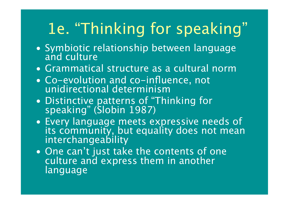# 1e. "Thinking for speaking"

- Symbiotic relationship between language and culture
- Grammatical structure as a cultural norm
- Co-evolution and co-influence, not unidirectional determinism
- Distinctive patterns of "Thinking for speaking" (Slobin 1987)
- Every language meets expressive needs of its community, but equality does not mean interchangeability
- One can't just take the contents of one culture and express them in another language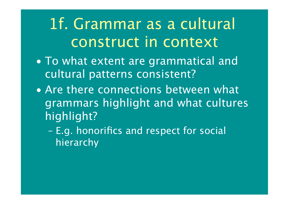1f. Grammar as a cultural construct in context

- To what extent are grammatical and cultural patterns consistent?
- Are there connections between what grammars highlight and what cultures highlight?
	- E.g. honorifics and respect for social hierarchy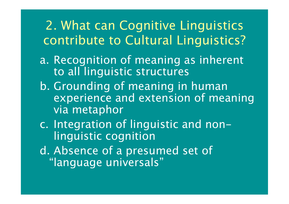2. What can Cognitive Linguistics contribute to Cultural Linguistics?

- a. Recognition of meaning as inherent to all linguistic structures
- b. Grounding of meaning in human experience and extension of meaning via metaphor
- c. Integration of linguistic and nonlinguistic cognition
- d. Absence of a presumed set of "language universals"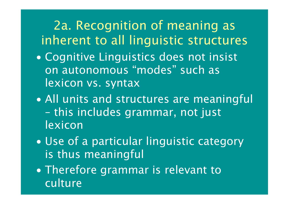#### 2a. Recognition of meaning as inherent to all linguistic structures

- Cognitive Linguistics does not insist on autonomous "modes" such as lexicon vs. syntax
- All units and structures are meaningful – this includes grammar, not just lexicon
- Use of a particular linguistic category is thus meaningful
- Therefore grammar is relevant to culture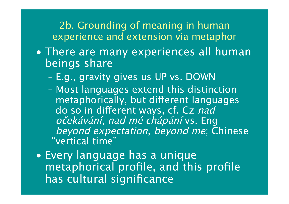2b. Grounding of meaning in human experience and extension via metaphor

- There are many experiences all human beings share
	- E.g., gravity gives us UP vs. DOWN
	- Most languages extend this distinction metaphorically, but different languages do so in different ways, cf. Cz nad <sup>o</sup>čekávání, nad mé chápání vs. Eng beyond expectation, beyond me; Chinese "vertical time"
- Every language has a unique metaphorical profile, and this profile has cultural significance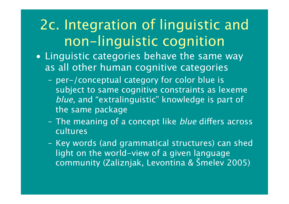## 2c. Integration of linguistic and non-linguistic cognition

- Linguistic categories behave the same way as all other human cognitive categories
	- per-/conceptual category for color blue is subject to same cognitive constraints as lexeme blue, and "extralinguistic" knowledge is part of the same package
	- The meaning of a concept like *blue* differs across **cultures**
	- Key words (and grammatical structures) can shed light on the world-view of a given language community (Zaliznjak, Levontina & Šmelev 2005)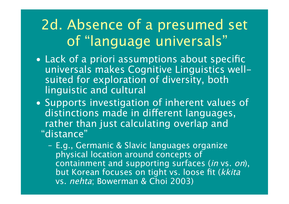# 2d. Absence of a presumed set of "language universals"

- Lack of a priori assumptions about specific universals makes Cognitive Linguistics wellsuited for exploration of diversity, both linguistic and cultural
- Supports investigation of inherent values of distinctions made in different languages, rather than just calculating overlap and "distance"
	- E.g., Germanic & Slavic languages organize physical location around concepts of containment and supporting surfaces (in vs. on), but Korean focuses on tight vs. loose fit (kkita vs. nehta; Bowerman & Choi 2003)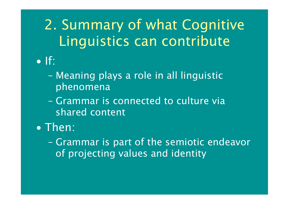2. Summary of what Cognitive Linguistics can contribute • If:

- Meaning plays a role in all linguistic phenomena
- Grammar is connected to culture via shared content
- Then:
	- Grammar is part of the semiotic endeavor of projecting values and identity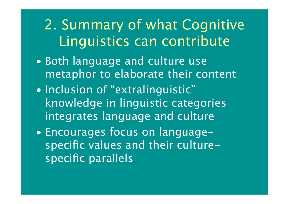2. Summary of what Cognitive Linguistics can contribute

- Both language and culture use metaphor to elaborate their content
- Inclusion of "extralinguistic" knowledge in linguistic categories integrates language and culture
- Encourages focus on languagespecific values and their culturespecific parallels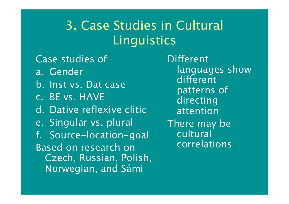#### 3. Case Studies in Cultural **Linguistics**

Case studies of a. Gender b. Inst vs. Dat case c. BE vs. HAVE d. Dative reflexive clitic e. Singular vs. plural

f. Source-location-goal Based on research on Czech, Russian, Polish, Norwegian, and Sámi

Different languages show different patterns of **directing** attention There may be cultural correlations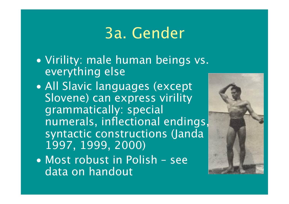# 3a. Gender

- Virility: male human beings vs. everything else
- All Slavic languages (except Slovene) can express virility grammatically: special numerals, inflectional endings, syntactic constructions (Janda 1997, 1999, 2000)
- Most robust in Polish see data on handout

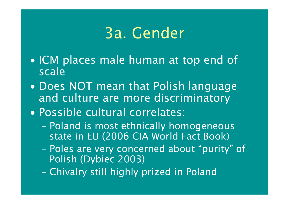# 3a. Gender

- ICM places male human at top end of scale
- Does NOT mean that Polish language and culture are more discriminatory
- Possible cultural correlates:
	- Poland is most ethnically homogeneous state in EU (2006 CIA World Fact Book)
	- Poles are very concerned about "purity" of Polish (Dybiec 2003)
	- Chivalry still highly prized in Poland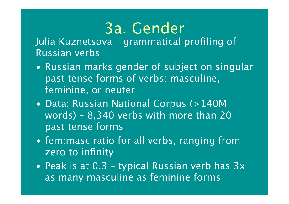# 3a. Gender

Julia Kuznetsova – grammatical profiling of Russian verbs

- Russian marks gender of subject on singular past tense forms of verbs: masculine, feminine, or neuter
- Data: Russian National Corpus (>140M words) – 8,340 verbs with more than 20 past tense forms
- fem:masc ratio for all verbs, ranging from zero to infinity
- Peak is at 0.3 typical Russian verb has  $3x$ as many masculine as feminine forms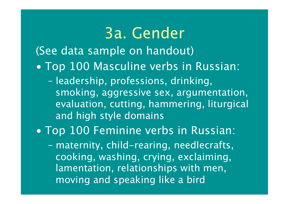#### 3a. Gender (See data sample on handout) • Top 100 Masculine verbs in Russian: – leadership, professions, drinking, smoking, aggressive sex, argumentation, evaluation, cutting, hammering, liturgical and high style domains • Top 100 Feminine verbs in Russian: – maternity, child-rearing, needlecrafts, cooking, washing, crying, exclaiming, lamentation, relationships with men, moving and speaking like a bird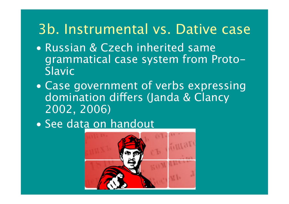### 3b. Instrumental vs. Dative case

- Russian & Czech inherited same grammatical case system from Proto-Slavic
- Case government of verbs expressing domination differs (Janda & Clancy 2002, 2006)
- See data on handout

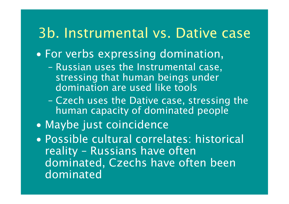### 3b. Instrumental vs. Dative case

- For verbs expressing domination,
	- Russian uses the Instrumental case, stressing that human beings under domination are used like tools
	- Czech uses the Dative case, stressing the human capacity of dominated people
- Maybe just coincidence
- Possible cultural correlates: historical reality – Russians have often dominated, Czechs have often been dominated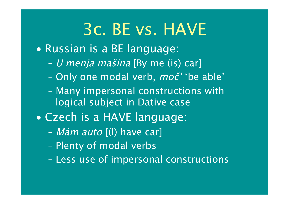# 3c. BE vs. HAVE

- Russian is a BE language:
	- U menja mašina [By me (is) car]
	- Only one modal verb, moč' 'be able'
	- Many impersonal constructions with logical subject in Dative case
- Czech is a HAVE language:
	- Mám auto [(I) have car]
	- Plenty of modal verbs
	- Less use of impersonal constructions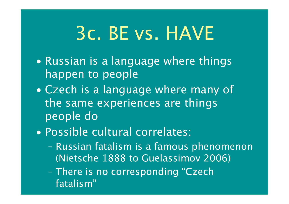# 3c. BE vs. HAVE

- Russian is a language where things happen to people
- Czech is a language where many of the same experiences are things people do
- Possible cultural correlates:
	- Russian fatalism is a famous phenomenon (Nietsche 1888 to Guelassimov 2006)
	- There is no corresponding "Czech fatalism"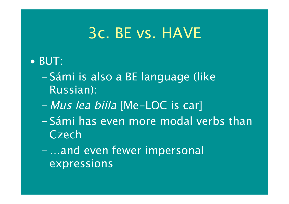## 3c. BE vs. HAVE

#### • BUT:

- Sámi is also a BE language (like Russian):
- Mus lea biila [Me-LOC is car]
- Sámi has even more modal verbs than Czech
- …and even fewer impersonal expressions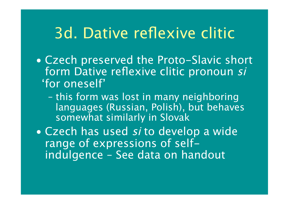## 3d. Dative reflexive clitic

- Czech preserved the Proto-Slavic short form Dative reflexive clitic pronoun si 'for oneself'
	- this form was lost in many neighboring languages (Russian, Polish), but behaves somewhat similarly in Slovak
- Czech has used si to develop a wide range of expressions of selfindulgence – See data on handout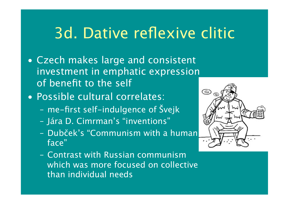# 3d. Dative reflexive clitic

- Czech makes large and consistent investment in emphatic expression of benefit to the self
- Possible cultural correlates:
	- me-first self-indulgence of Švejk
	- Jára D. Cimrman's "inventions"
	- Dubček's "Communism with a human face"
	- Contrast with Russian communism which was more focused on collective than individual needs

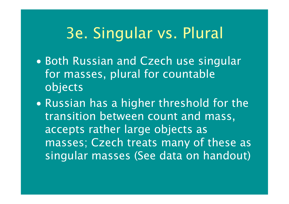- Both Russian and Czech use singular for masses, plural for countable objects
- Russian has a higher threshold for the transition between count and mass, accepts rather large objects as masses; Czech treats many of these as singular masses (See data on handout)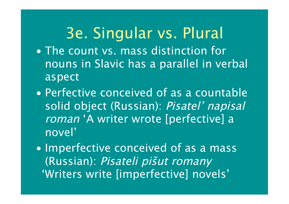- The count vs. mass distinction for nouns in Slavic has a parallel in verbal aspect
- Perfective conceived of as a countable solid object (Russian): Pisatel' napisal roman 'A writer wrote [perfective] a novel'
- Imperfective conceived of as a mass (Russian): Pisateli pišut romany 'Writers write [imperfective] novels'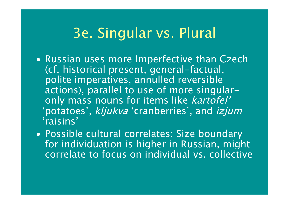- Russian uses more Imperfective than Czech (cf. historical present, general-factual, polite imperatives, annulled reversible actions), parallel to use of more singularonly mass nouns for items like kartofel' 'potatoes' , kljukva 'cranberries', and izjum 'raisins'
- Possible cultural correlates: Size boundary for individuation is higher in Russian, might correlate to focus on individual vs. collective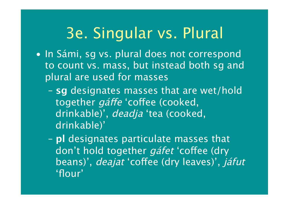- In Sámi, sg vs. plural does not correspond to count vs. mass, but instead both sg and plural are used for masses
	- **sg** designates masses that are wet/hold together *gáffe* 'coffee (cooked, drinkable)', deadja 'tea (cooked, drinkable)'
	- **pl** designates particulate masses that don't hold together *gáfet* 'coffee (dry beans)', *deajat* 'coffee (dry leaves)', *jáfut* 'flour'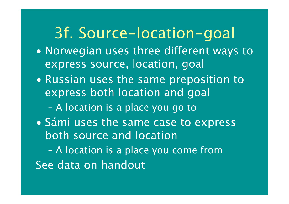# 3f. Source-location-goal

- Norwegian uses three different ways to express source, location, goal
- Russian uses the same preposition to express both location and goal
	- A location is a place you go to
- Sámi uses the same case to express both source and location

– A location is a place you come from See data on handout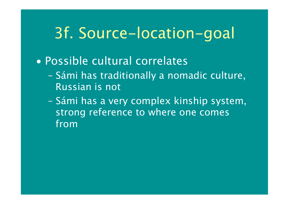## 3f. Source-location-goal

#### • Possible cultural correlates

- Sámi has traditionally a nomadic culture, Russian is not
- Sámi has a very complex kinship system, strong reference to where one comes from